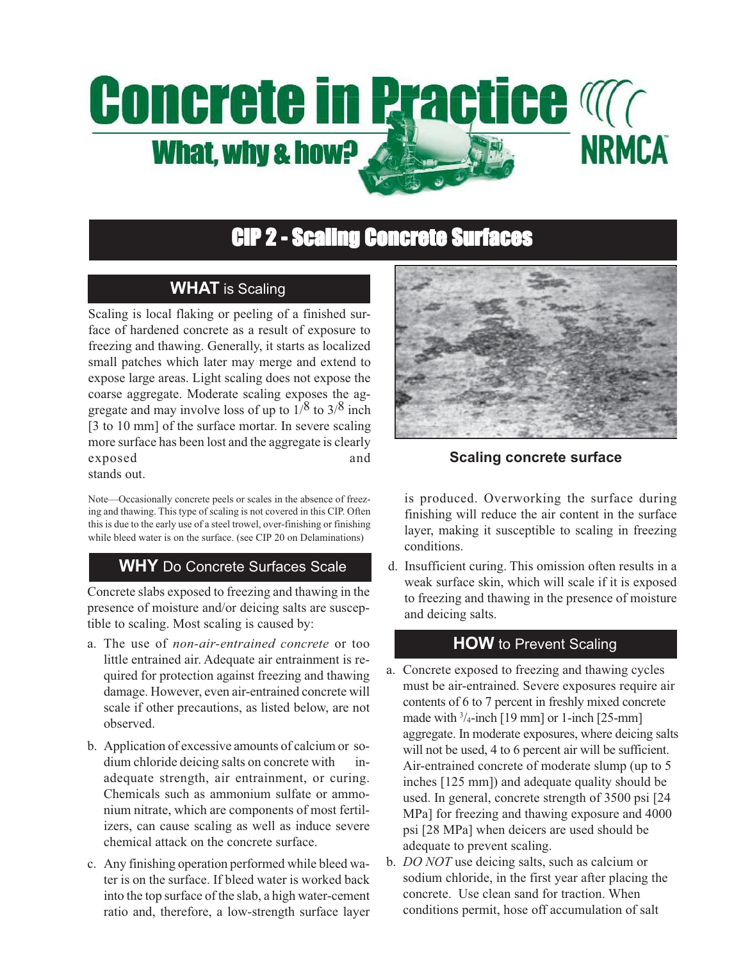# **Concrete in Practice Magnetic NRMCA** What, why & how?

## **CIP 2 - Scaling Concrete Surfaces**

### **WHAT** is Scaling

Scaling is local flaking or peeling of a finished surface of hardened concrete as a result of exposure to freezing and thawing. Generally, it starts as localized small patches which later may merge and extend to expose large areas. Light scaling does not expose the coarse aggregate. Moderate scaling exposes the aggregate and may involve loss of up to  $1/8$  to  $3/8$  inch [3 to 10 mm] of the surface mortar. In severe scaling more surface has been lost and the aggregate is clearly exposed and stands out.

Note—Occasionally concrete peels or scales in the absence of freezing and thawing. This type of scaling is not covered in this CIP. Often this is due to the early use of a steel trowel, over-finishing or finishing while bleed water is on the surface. (see CIP 20 on Delaminations)

#### **WHY** Do Concrete Surfaces Scale

Concrete slabs exposed to freezing and thawing in the presence of moisture and/or deicing salts are susceptible to scaling. Most scaling is caused by:

- a. The use of *non-air-entrained concrete* or too little entrained air. Adequate air entrainment is required for protection against freezing and thawing damage. However, even air-entrained concrete will scale if other precautions, as listed below, are not observed.
- b. Application of excessive amounts of calcium or sodium chloride deicing salts on concrete with inadequate strength, air entrainment, or curing. Chemicals such as ammonium sulfate or ammonium nitrate, which are components of most fertilizers, can cause scaling as well as induce severe chemical attack on the concrete surface.
- c. Any finishing operation performed while bleed water is on the surface. If bleed water is worked back into the top surface of the slab, a high water-cement ratio and, therefore, a low-strength surface layer



**Scaling concrete surface**

is produced. Overworking the surface during finishing will reduce the air content in the surface layer, making it susceptible to scaling in freezing conditions.

d. Insufficient curing. This omission often results in a weak surface skin, which will scale if it is exposed to freezing and thawing in the presence of moisture and deicing salts.

#### **HOW** to Prevent Scaling

- a. Concrete exposed to freezing and thawing cycles must be air-entrained. Severe exposures require air contents of 6 to 7 percent in freshly mixed concrete made with  $\frac{3}{4}$ -inch [19 mm] or 1-inch [25-mm] aggregate. In moderate exposures, where deicing salts will not be used, 4 to 6 percent air will be sufficient. Air-entrained concrete of moderate slump (up to 5 inches [125 mm]) and adequate quality should be used. In general, concrete strength of 3500 psi [24 MPa] for freezing and thawing exposure and 4000 psi [28 MPa] when deicers are used should be adequate to prevent scaling.
- b. *DO NOT* use deicing salts, such as calcium or sodium chloride, in the first year after placing the concrete. Use clean sand for traction. When conditions permit, hose off accumulation of salt